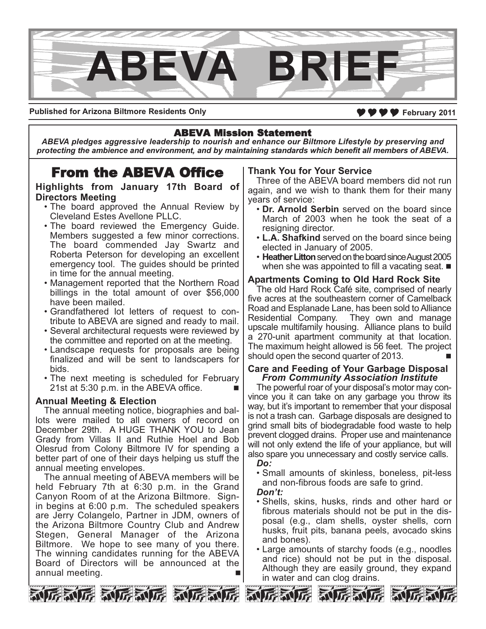

**Published for Arizona Biltmore Residents Only**

#### YYYY **February 2011**

#### ABEVA Mission Statement

*ABEVA pledges aggressive leadership to nourish and enhance our Biltmore Lifestyle by preserving and protecting the ambience and environment, and by maintaining standards which benefit all members of ABEVA.*

### From the ABEVA Office

#### **Highlights from January 17th Board of Directors Meeting**

- The board approved the Annual Review by Cleveland Estes Avellone PLLC.
- The board reviewed the Emergency Guide. Members suggested a few minor corrections. The board commended Jay Swartz and Roberta Peterson for developing an excellent emergency tool. The guides should be printed in time for the annual meeting.
- Management reported that the Northern Road billings in the total amount of over \$56,000 have been mailed.
- Grandfathered lot letters of request to contribute to ABEVA are signed and ready to mail.
- Several architectural requests were reviewed by the committee and reported on at the meeting.
- Landscape requests for proposals are being finalized and will be sent to landscapers for bids.
- The next meeting is scheduled for February 21st at  $5:30$  p.m. in the ABEVA office.

#### **Annual Meeting & Election**

The annual meeting notice, biographies and ballots were mailed to all owners of record on December 29th. A HUGE THANK YOU to Jean Grady from Villas II and Ruthie Hoel and Bob Olesrud from Colony Biltmore IV for spending a better part of one of their days helping us stuff the annual meeting envelopes.

The annual meeting of ABEVA members will be held February 7th at 6:30 p.m. in the Grand Canyon Room of at the Arizona Biltmore. Signin begins at 6:00 p.m. The scheduled speakers are Jerry Colangelo, Partner in JDM, owners of the Arizona Biltmore Country Club and Andrew Stegen, General Manager of the Arizona Biltmore. We hope to see many of you there. The winning candidates running for the ABEVA Board of Directors will be announced at the annual meeting.

#### **Thank You for Your Service**

Three of the ABEVA board members did not run again, and we wish to thank them for their many years of service:

- **Dr. Arnold Serbin** served on the board since March of 2003 when he took the seat of a resigning director.
- **L.A. Shafkind** served on the board since being elected in January of 2005.
- **Heather Litton**served on the board since August 2005 when she was appointed to fill a vacating seat.  $\blacksquare$

#### **Apartments Coming to Old Hard Rock Site**

The old Hard Rock Café site, comprised of nearly five acres at the southeastern corner of Camelback Road and Esplanade Lane, has been sold to Alliance Residential Company. They own and manage upscale multifamily housing. Alliance plans to build a 270-unit apartment community at that location. The maximum height allowed is 56 feet. The project should open the second quarter of 2013.

# **Care and Feeding of Your Garbage Disposal** *From Community Association Institute*

The powerful roar of your disposal's motor may convince you it can take on any garbage you throw its way, but it's important to remember that your disposal is not a trash can. Garbage disposals are designed to grind small bits of biodegradable food waste to help prevent clogged drains. Proper use and maintenance will not only extend the life of your appliance, but will also spare you unnecessary and costly service calls.

#### *Do:*

• Small amounts of skinless, boneless, pit-less and non-fibrous foods are safe to grind. *Don't:*

#### • Shells, skins, husks, rinds and other hard or fibrous materials should not be put in the disposal (e.g., clam shells, oyster shells, corn husks, fruit pits, banana peels, avocado skins and bones).

• Large amounts of starchy foods (e.g., noodles and rice) should not be put in the disposal. Although they are easily ground, they expand in water and can clog drains.







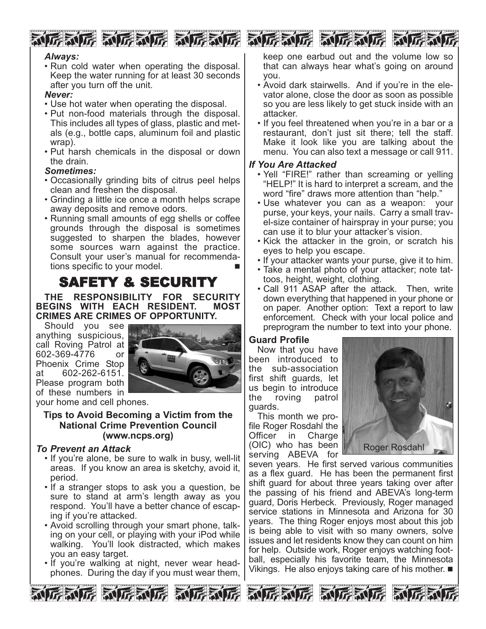# **厉 动厉动厉 动厉动厉**

#### *Always:*

• Run cold water when operating the disposal. Keep the water running for at least 30 seconds after you turn off the unit.

#### *Never:*

- Use hot water when operating the disposal.
- Put non-food materials through the disposal. This includes all types of glass, plastic and metals (e.g., bottle caps, aluminum foil and plastic wrap).
- Put harsh chemicals in the disposal or down the drain.

#### *Sometimes:*

- Occasionally grinding bits of citrus peel helps clean and freshen the disposal.
- Grinding a little ice once a month helps scrape away deposits and remove odors.
- Running small amounts of egg shells or coffee grounds through the disposal is sometimes suggested to sharpen the blades, however some sources warn against the practice. Consult your user's manual for recommendations specific to your model.

## SAFETY & SECURITY

#### **THE RESPONSIBILITY FOR SECURITY BEGINS WITH EACH RESIDENT. MOST CRIMES ARE CRIMES OF OPPORTUNITY.**

Should you see anything suspicious, call Roving Patrol at 602-369-4776 or Phoenix Crime Stop at 602-262-6151. Please program both of these numbers in



your home and cell phones.

#### **Tips to Avoid Becoming a Victim from the National Crime Prevention Council (www.ncps.org)**

#### *To Prevent an Attack*

- If you're alone, be sure to walk in busy, well-lit areas. If you know an area is sketchy, avoid it, period.
- If a stranger stops to ask you a question, be sure to stand at arm's length away as you respond. You'll have a better chance of escaping if you're attacked.
- Avoid scrolling through your smart phone, talking on your cell, or playing with your iPod while walking. You'll look distracted, which makes you an easy target.
- If you're walking at night, never wear headphones. During the day if you must wear them,

keep one earbud out and the volume low so that can always hear what's going on around you.

- Avoid dark stairwells. And if you're in the elevator alone, close the door as soon as possible so you are less likely to get stuck inside with an attacker.
- If you feel threatened when you're in a bar or a restaurant, don't just sit there; tell the staff. Make it look like you are talking about the menu. You can also text a message or call 911.

#### *If You Are Attacked*

- Yell "FIRE!" rather than screaming or yelling "HELP!" It is hard to interpret a scream, and the word "fire" draws more attention than "help."
- Use whatever you can as a weapon: your purse, your keys, your nails. Carry a small travel-size container of hairspray in your purse; you can use it to blur your attacker's vision.
- Kick the attacker in the groin, or scratch his eyes to help you escape.
- If your attacker wants your purse, give it to him.
- Take a mental photo of your attacker; note tattoos, height, weight, clothing.
- Call 911 ASAP after the attack. Then, write down everything that happened in your phone or on paper. Another option: Text a report to law enforcement. Check with your local police and preprogram the number to text into your phone.

#### **Guard Profile**

Now that you have been introduced to the sub-association first shift guards, let us begin to introduce the roving patrol guards.

This month we profile Roger Rosdahl the Officer in Charge (OIC) who has been serving ABEVA for



seven years. He first served various communities as a flex guard. He has been the permanent first shift guard for about three years taking over after the passing of his friend and ABEVA's long-term guard, Doris Herbeck. Previously, Roger managed service stations in Minnesota and Arizona for 30 years. The thing Roger enjoys most about this job is being able to visit with so many owners, solve issues and let residents know they can count on him for help. Outside work, Roger enjoys watching football, especially his favorite team, the Minnesota Vikings. He also enjoys taking care of his mother.  $\blacksquare$ 









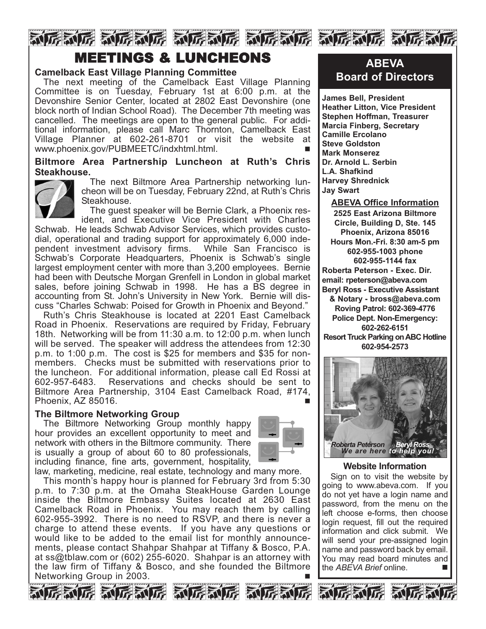

### MEETINGS & LUNCHEONS

#### **Camelback East Village Planning Committee**

The next meeting of the Camelback East Village Planning Committee is on Tuesday, February 1st at 6:00 p.m. at the Devonshire Senior Center, located at 2802 East Devonshire (one block north of Indian School Road). The December 7th meeting was cancelled. The meetings are open to the general public. For additional information, please call Marc Thornton, Camelback East Village Planner at 602-261-8701 or visit the website at www.phoenix.gov/PUBMEETC/indxhtml.html.

**Biltmore Area Partnership Luncheon at Ruth's Chris Steakhouse.**



The next Biltmore Area Partnership networking luncheon will be on Tuesday, February 22nd, at Ruth's Chris Steakhouse.

The guest speaker will be Bernie Clark, a Phoenix resident, and Executive Vice President with Charles

Schwab. He leads Schwab Advisor Services, which provides custodial, operational and trading support for approximately 6,000 independent investment advisory firms. While San Francisco is Schwab's Corporate Headquarters, Phoenix is Schwab's single largest employment center with more than 3,200 employees. Bernie had been with Deutsche Morgan Grenfell in London in global market sales, before joining Schwab in 1998. He has a BS degree in accounting from St. John's University in New York. Bernie will discuss "Charles Schwab: Poised for Growth in Phoenix and Beyond."

Ruth's Chris Steakhouse is located at 2201 East Camelback Road in Phoenix. Reservations are required by Friday, February 18th. Networking will be from 11:30 a.m. to 12:00 p.m. when lunch will be served. The speaker will address the attendees from 12:30 p.m. to 1:00 p.m. The cost is \$25 for members and \$35 for nonmembers. Checks must be submitted with reservations prior to the luncheon. For additional information, please call Ed Rossi at 602-957-6483. Reservations and checks should be sent to Biltmore Area Partnership, 3104 East Camelback Road, #174, Phoenix, AZ 85016. n

#### **The Biltmore Networking Group**

The Biltmore Networking Group monthly happy hour provides an excellent opportunity to meet and network with others in the Biltmore community. There is usually a group of about 60 to 80 professionals, including finance, fine arts, government, hospitality,



law, marketing, medicine, real estate, technology and many more. This month's happy hour is planned for February 3rd from 5:30 p.m. to 7:30 p.m. at the Omaha SteakHouse Garden Lounge inside the Biltmore Embassy Suites located at 2630 East Camelback Road in Phoenix. You may reach them by calling 602-955-3992. There is no need to RSVP, and there is never a charge to attend these events. If you have any questions or would like to be added to the email list for monthly announcements, please contact Shahpar Shahpar at Tiffany & Bosco, P.A. at ss@tblaw.com or (602) 255-6020. Shahpar is an attorney with the law firm of Tiffany & Bosco, and she founded the Biltmore Networking Group in 2003.









**James Bell, President Heather Litton, Vice President Stephen Hoffman, Treasurer Marcia Finberg, Secretary Camille Ercolano Steve Goldston Mark Monserez Dr. Arnold L. Serbin L.A. Shafkind Harvey Shrednick Jay Swart**

**ABEVA Office Information 2525 East Arizona Biltmore Circle, Building D, Ste. 145 Phoenix, Arizona 85016 Hours Mon.-Fri. 8:30 am-5 pm 602-955-1003 phone 602-955-1144 fax Roberta Peterson - Exec. Dir. email: rpeterson@abeva.com Beryl Ross - Executive Assistant & Notary - bross@abeva.com Roving Patrol: 602-369-4776 Police Dept. Non-Emergency: 602-262-6151 Resort Truck Parking on ABC Hotline 602-954-2573**



#### **Website Information**

Sign on to visit the website by going to www.abeva.com. If you do not yet have a login name and password, from the menu on the left choose e-forms, then choose login request, fill out the required information and click submit. We will send your pre-assigned login name and password back by email. You may read board minutes and the *ABEVA Brief* online. ■

和厉利厉